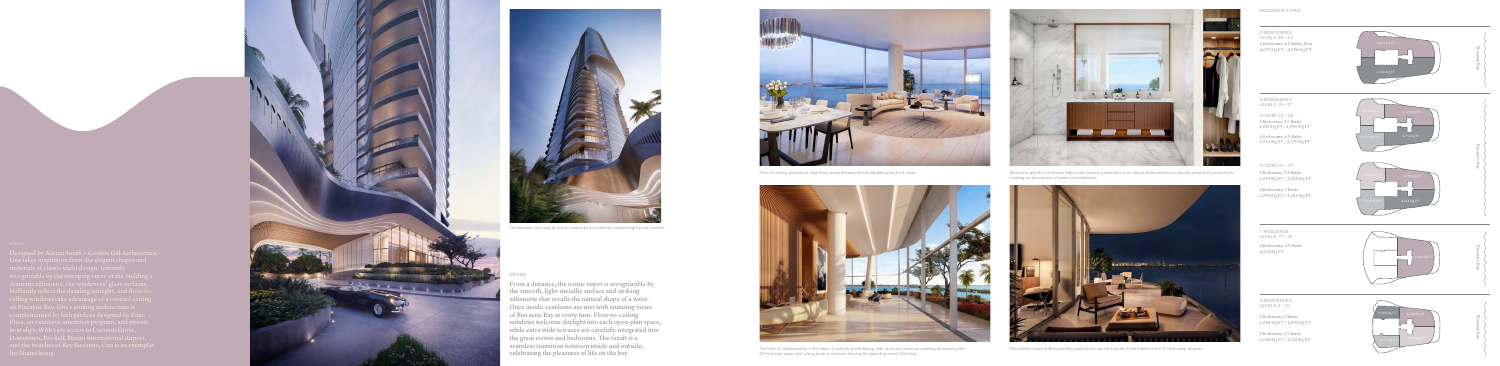

Floor-to-ceiling windows in main living areas enhance the breathtaking bayfront views.<br>
Sleek and spa-like, the master bathrooms feature a material mix of natural stone selections, stained wood and porcelain tile, creating an atmosphere of peace and relaxation.







The dramatic entryway at Una is marked by a curvilinear double-height porte cochère.

# ESIGN

### RESIDENCE TYPES

2 RESIDENCES LEVELS 38 – 43 4 Bedrooms, 6.5 Baths, Den 4,697 SQ FT / 4,786 SQ FT

4 RESIDENCES LEVELS 19 – 37

FLOORS 19 – 29 3 Bedrooms, 3.5 Baths 1,915 SQ FT / 1,995 SQ FT

4 Bedrooms, 4.5 Baths 2,724 SQ FT / 2,731 SQ FT

FLOORS 30 – 37

3 Bedrooms, 3.5 Baths 1,939 SQ FT / 2,019 SQ FT

4 Bedrooms, 5 Baths 2,759 SQ FT / 2,766 SQ FT

1 RESIDENCE LEVELS 17 – 18

4 Bedrooms, 4.5 Baths 4,222 SQ FT

4 RESIDENCES LEVELS 5 – 16

**Contract Contract Contract** 

2 Bedrooms, 2 Baths 1,098 SQ FT / 1,179 SQ FT

3 Bedrooms, 3.5 Baths 2,108 SQ FT / 2,115 SQ FT



2,724 SQ FT





SCALLENGE AND SERVIS OF THE SUBLICITY OF THE REVELO CONFORT THE SUBLICITY THE SUBLICITY THE SUBLICITY THE SUBLICITY THE SUBLICITY THE SUBLICITY THE SUBLICITY THE SUBLICITY THE SUBLICITY THE SUBLICITY OF DESCRIPTION OF THE 20-foot-high space and a long bank of windows framing the sparkling views of the bay.



4,222 SQ FT



| Biscayne Bay        | 255555                                                                                                                                                                                                                         |
|---------------------|--------------------------------------------------------------------------------------------------------------------------------------------------------------------------------------------------------------------------------|
| Biscayne Bay        | Services of the services of the services of the services of the services of the services of the services of the services of the services of the services of the services of the service of the service of the service of the s |
| <b>Biscayne Bay</b> |                                                                                                                                                                                                                                |
| <b>Biscayne Bay</b> | $\begin{bmatrix} 1 & 1 \\ 1 & 2 \end{bmatrix}$                                                                                                                                                                                 |

From a distance, the iconic tower is recognizable by the smooth, light-metallic surface and striking silhouette that recalls the natural shape of a wave. Once inside, residents are met with stunning views of Biscayne Bay at every turn. Floor-to-ceiling windows welcome daylight into each open-plan space, while extra wide terraces are carefully integrated into the great rooms and bedrooms. The result is a seamless transition between inside and outside,